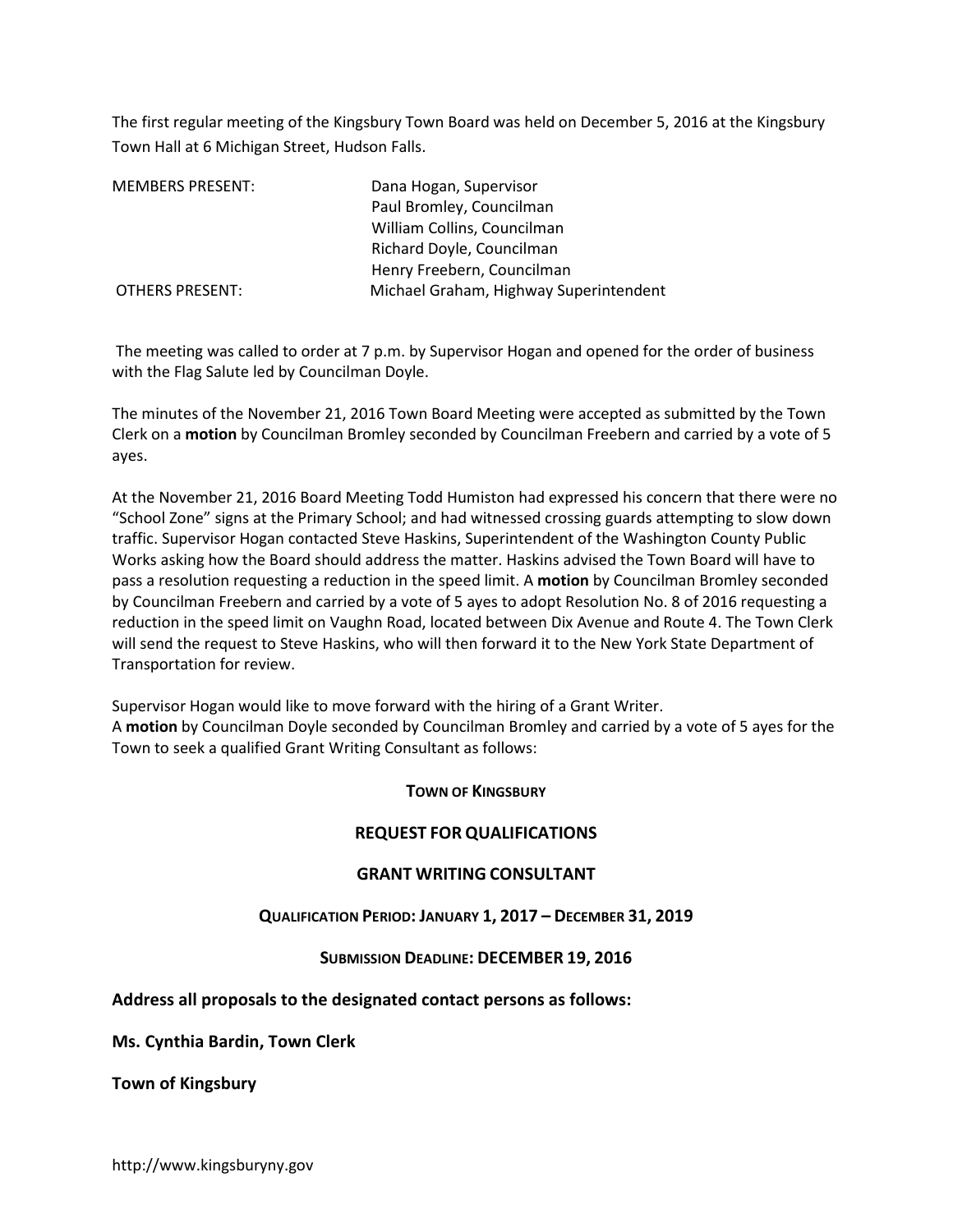The first regular meeting of the Kingsbury Town Board was held on December 5, 2016 at the Kingsbury Town Hall at 6 Michigan Street, Hudson Falls.

| <b>MEMBERS PRESENT:</b> | Dana Hogan, Supervisor                 |
|-------------------------|----------------------------------------|
|                         | Paul Bromley, Councilman               |
|                         | William Collins, Councilman            |
|                         | Richard Doyle, Councilman              |
|                         | Henry Freebern, Councilman             |
| <b>OTHERS PRESENT:</b>  | Michael Graham, Highway Superintendent |

 The meeting was called to order at 7 p.m. by Supervisor Hogan and opened for the order of business with the Flag Salute led by Councilman Doyle.

The minutes of the November 21, 2016 Town Board Meeting were accepted as submitted by the Town Clerk on a **motion** by Councilman Bromley seconded by Councilman Freebern and carried by a vote of 5 ayes.

At the November 21, 2016 Board Meeting Todd Humiston had expressed his concern that there were no "School Zone" signs at the Primary School; and had witnessed crossing guards attempting to slow down traffic. Supervisor Hogan contacted Steve Haskins, Superintendent of the Washington County Public Works asking how the Board should address the matter. Haskins advised the Town Board will have to pass a resolution requesting a reduction in the speed limit. A **motion** by Councilman Bromley seconded by Councilman Freebern and carried by a vote of 5 ayes to adopt Resolution No. 8 of 2016 requesting a reduction in the speed limit on Vaughn Road, located between Dix Avenue and Route 4. The Town Clerk will send the request to Steve Haskins, who will then forward it to the New York State Department of Transportation for review.

Supervisor Hogan would like to move forward with the hiring of a Grant Writer. A **motion** by Councilman Doyle seconded by Councilman Bromley and carried by a vote of 5 ayes for the Town to seek a qualified Grant Writing Consultant as follows:

**TOWN OF KINGSBURY**

#### **REQUEST FOR QUALIFICATIONS**

#### **GRANT WRITING CONSULTANT**

## **QUALIFICATION PERIOD: JANUARY 1, 2017 – DECEMBER 31, 2019**

#### **SUBMISSION DEADLINE: DECEMBER 19, 2016**

#### **Address all proposals to the designated contact persons as follows:**

**Ms. Cynthia Bardin, Town Clerk** 

**Town of Kingsbury**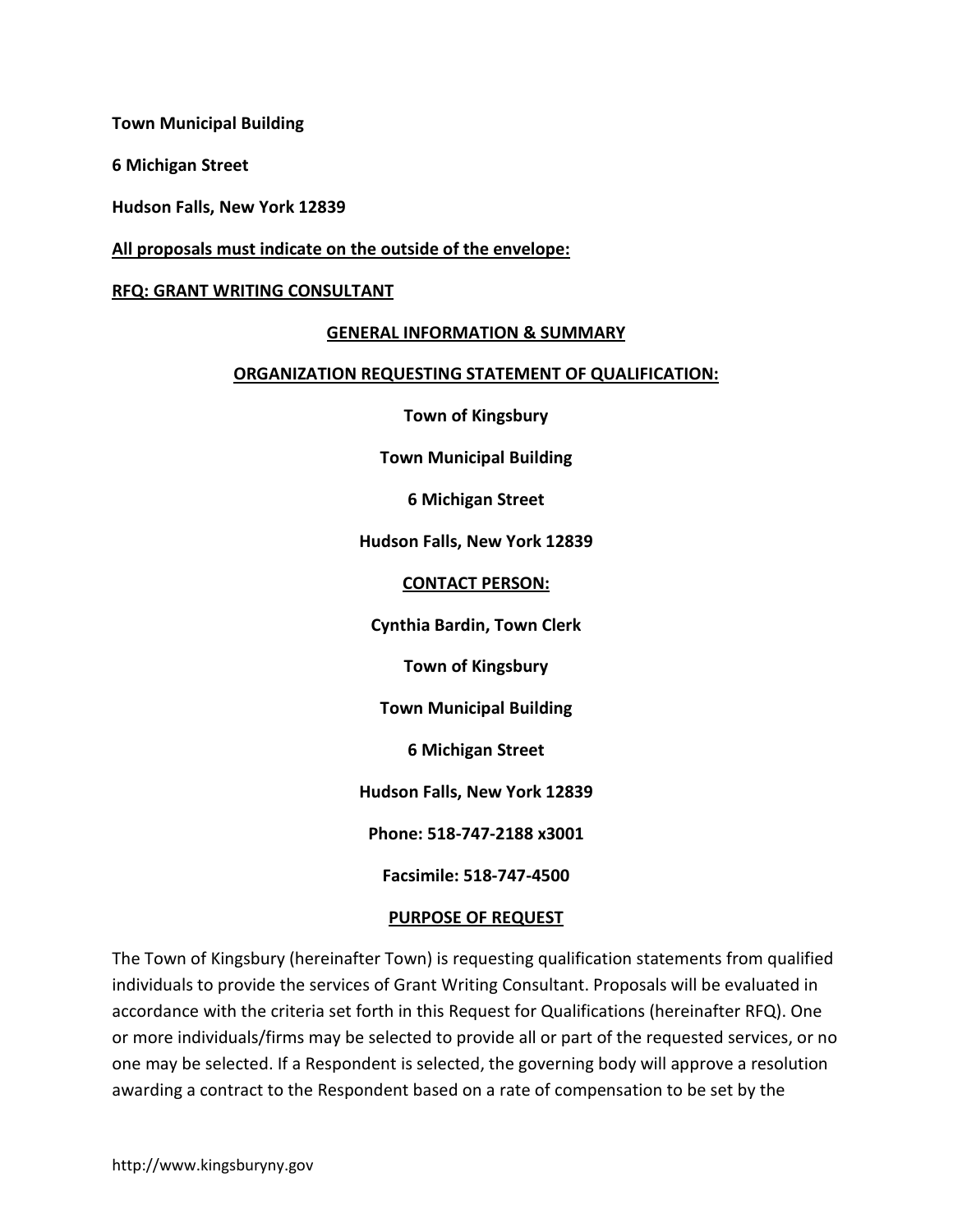**Town Municipal Building** 

**6 Michigan Street** 

**Hudson Falls, New York 12839** 

### **All proposals must indicate on the outside of the envelope:**

### **RFQ: GRANT WRITING CONSULTANT**

#### **GENERAL INFORMATION & SUMMARY**

#### **ORGANIZATION REQUESTING STATEMENT OF QUALIFICATION:**

**Town of Kingsbury** 

**Town Municipal Building** 

**6 Michigan Street** 

**Hudson Falls, New York 12839** 

#### **CONTACT PERSON:**

**Cynthia Bardin, Town Clerk** 

**Town of Kingsbury** 

**Town Municipal Building** 

**6 Michigan Street** 

**Hudson Falls, New York 12839** 

**Phone: 518-747-2188 x3001** 

**Facsimile: 518-747-4500** 

#### **PURPOSE OF REQUEST**

The Town of Kingsbury (hereinafter Town) is requesting qualification statements from qualified individuals to provide the services of Grant Writing Consultant. Proposals will be evaluated in accordance with the criteria set forth in this Request for Qualifications (hereinafter RFQ). One or more individuals/firms may be selected to provide all or part of the requested services, or no one may be selected. If a Respondent is selected, the governing body will approve a resolution awarding a contract to the Respondent based on a rate of compensation to be set by the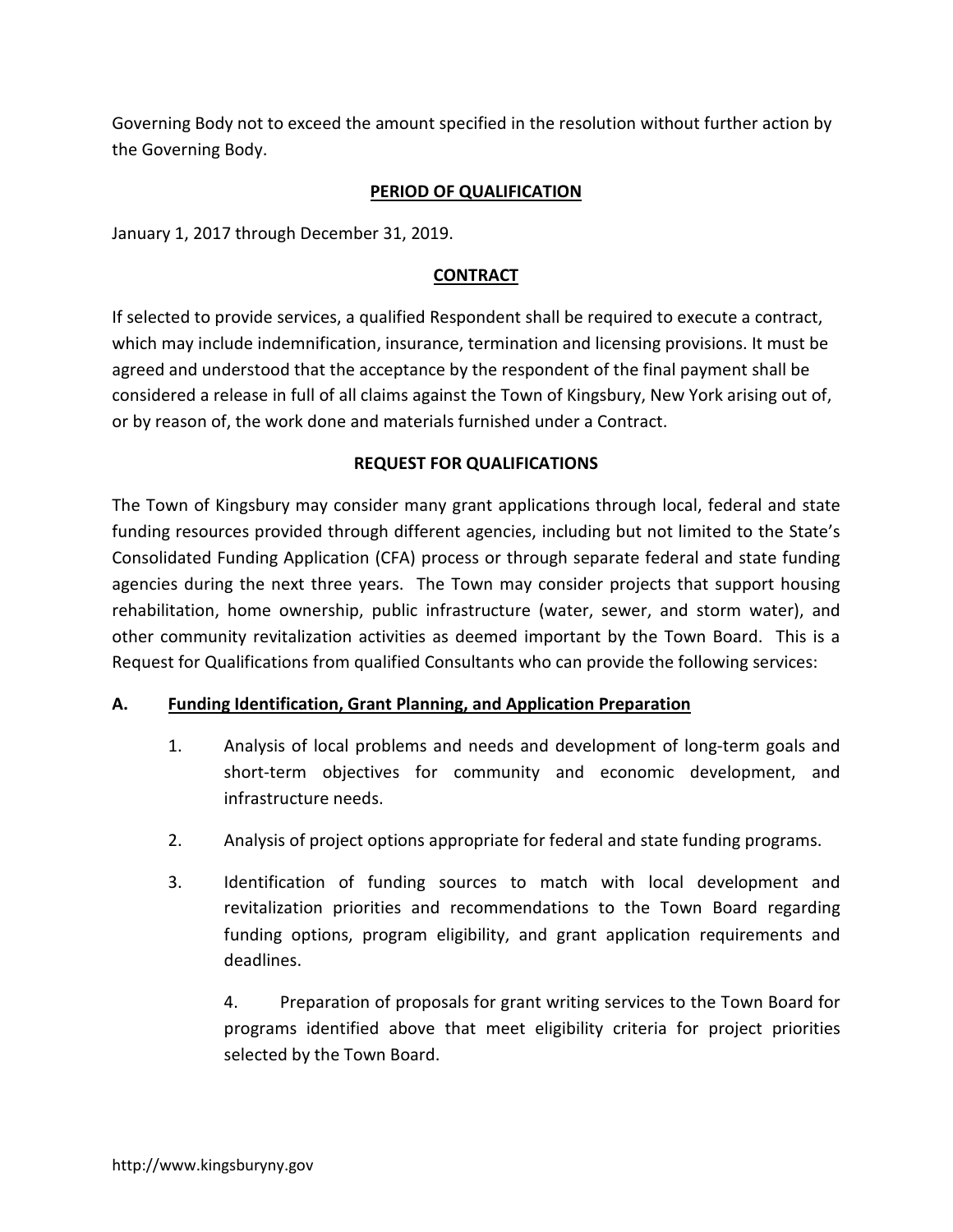Governing Body not to exceed the amount specified in the resolution without further action by the Governing Body.

# **PERIOD OF QUALIFICATION**

January 1, 2017 through December 31, 2019.

# **CONTRACT**

If selected to provide services, a qualified Respondent shall be required to execute a contract, which may include indemnification, insurance, termination and licensing provisions. It must be agreed and understood that the acceptance by the respondent of the final payment shall be considered a release in full of all claims against the Town of Kingsbury, New York arising out of, or by reason of, the work done and materials furnished under a Contract.

# **REQUEST FOR QUALIFICATIONS**

The Town of Kingsbury may consider many grant applications through local, federal and state funding resources provided through different agencies, including but not limited to the State's Consolidated Funding Application (CFA) process or through separate federal and state funding agencies during the next three years. The Town may consider projects that support housing rehabilitation, home ownership, public infrastructure (water, sewer, and storm water), and other community revitalization activities as deemed important by the Town Board. This is a Request for Qualifications from qualified Consultants who can provide the following services:

## **A. Funding Identification, Grant Planning, and Application Preparation**

- 1. Analysis of local problems and needs and development of long-term goals and short-term objectives for community and economic development, and infrastructure needs.
- 2. Analysis of project options appropriate for federal and state funding programs.
- 3. Identification of funding sources to match with local development and revitalization priorities and recommendations to the Town Board regarding funding options, program eligibility, and grant application requirements and deadlines.

 4. Preparation of proposals for grant writing services to the Town Board for programs identified above that meet eligibility criteria for project priorities selected by the Town Board.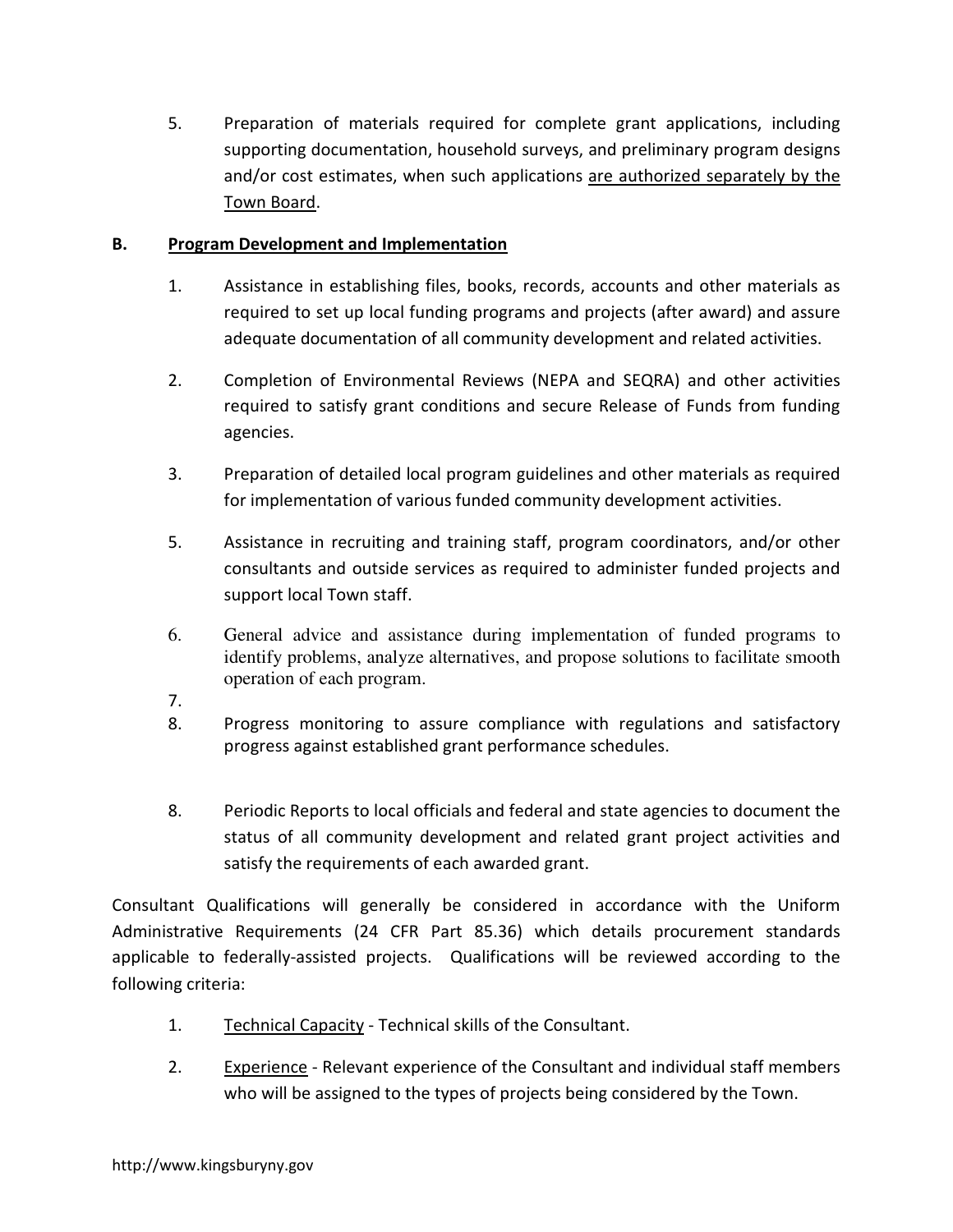5. Preparation of materials required for complete grant applications, including supporting documentation, household surveys, and preliminary program designs and/or cost estimates, when such applications are authorized separately by the Town Board.

# **B. Program Development and Implementation**

- 1. Assistance in establishing files, books, records, accounts and other materials as required to set up local funding programs and projects (after award) and assure adequate documentation of all community development and related activities.
- 2. Completion of Environmental Reviews (NEPA and SEQRA) and other activities required to satisfy grant conditions and secure Release of Funds from funding agencies.
- 3. Preparation of detailed local program guidelines and other materials as required for implementation of various funded community development activities.
- 5. Assistance in recruiting and training staff, program coordinators, and/or other consultants and outside services as required to administer funded projects and support local Town staff.
- 6. General advice and assistance during implementation of funded programs to identify problems, analyze alternatives, and propose solutions to facilitate smooth operation of each program.
- 7.
- 8. Progress monitoring to assure compliance with regulations and satisfactory progress against established grant performance schedules.
- 8. Periodic Reports to local officials and federal and state agencies to document the status of all community development and related grant project activities and satisfy the requirements of each awarded grant.

Consultant Qualifications will generally be considered in accordance with the Uniform Administrative Requirements (24 CFR Part 85.36) which details procurement standards applicable to federally-assisted projects. Qualifications will be reviewed according to the following criteria:

- 1. Technical Capacity Technical skills of the Consultant.
- 2. Experience Relevant experience of the Consultant and individual staff members who will be assigned to the types of projects being considered by the Town.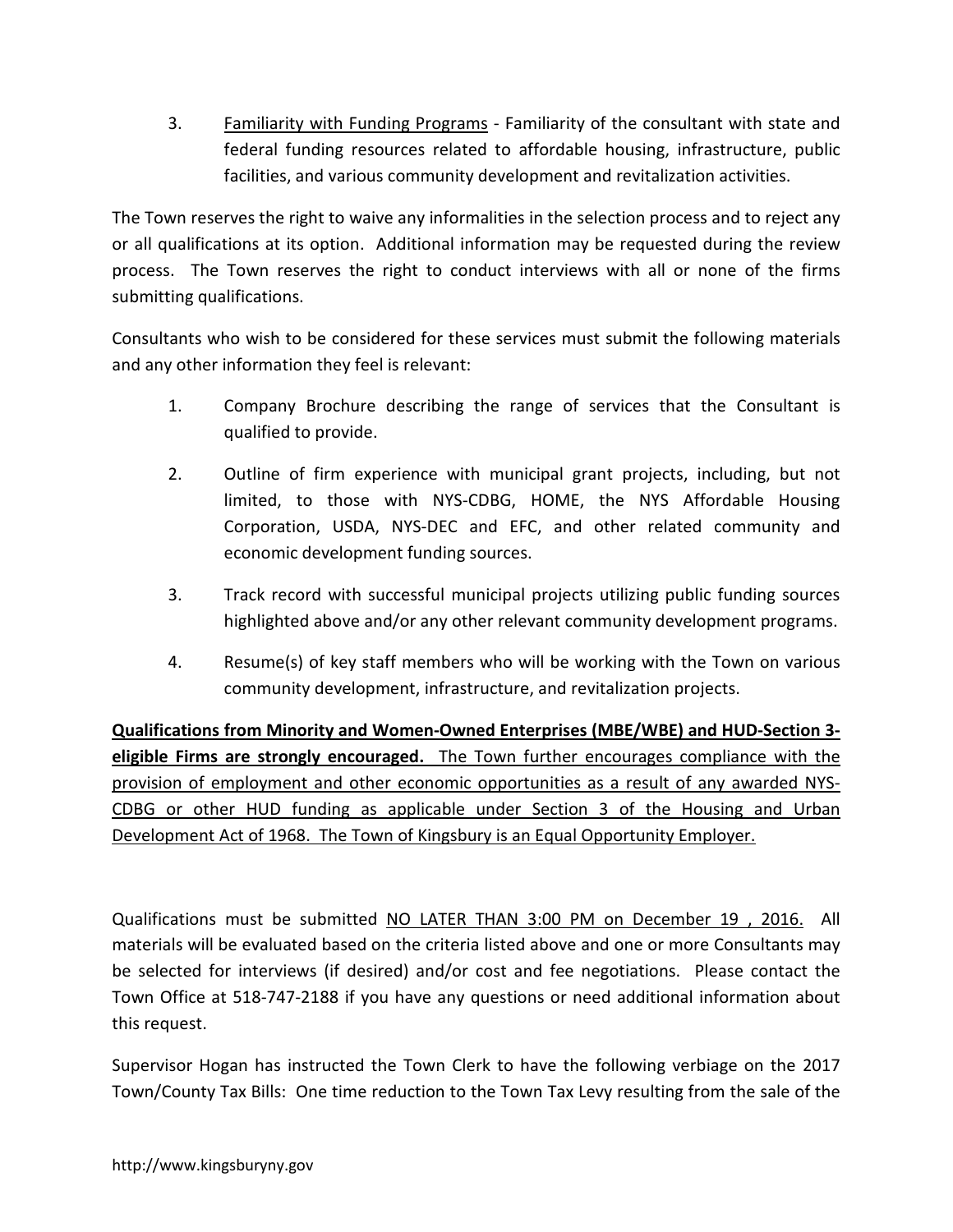3. Familiarity with Funding Programs - Familiarity of the consultant with state and federal funding resources related to affordable housing, infrastructure, public facilities, and various community development and revitalization activities.

The Town reserves the right to waive any informalities in the selection process and to reject any or all qualifications at its option. Additional information may be requested during the review process. The Town reserves the right to conduct interviews with all or none of the firms submitting qualifications.

Consultants who wish to be considered for these services must submit the following materials and any other information they feel is relevant:

- 1. Company Brochure describing the range of services that the Consultant is qualified to provide.
- 2. Outline of firm experience with municipal grant projects, including, but not limited, to those with NYS-CDBG, HOME, the NYS Affordable Housing Corporation, USDA, NYS-DEC and EFC, and other related community and economic development funding sources.
- 3. Track record with successful municipal projects utilizing public funding sources highlighted above and/or any other relevant community development programs.
- 4. Resume(s) of key staff members who will be working with the Town on various community development, infrastructure, and revitalization projects.

**Qualifications from Minority and Women-Owned Enterprises (MBE/WBE) and HUD-Section 3 eligible Firms are strongly encouraged.** The Town further encourages compliance with the provision of employment and other economic opportunities as a result of any awarded NYS-CDBG or other HUD funding as applicable under Section 3 of the Housing and Urban Development Act of 1968. The Town of Kingsbury is an Equal Opportunity Employer.

Qualifications must be submitted NO LATER THAN 3:00 PM on December 19 , 2016. All materials will be evaluated based on the criteria listed above and one or more Consultants may be selected for interviews (if desired) and/or cost and fee negotiations. Please contact the Town Office at 518-747-2188 if you have any questions or need additional information about this request.

Supervisor Hogan has instructed the Town Clerk to have the following verbiage on the 2017 Town/County Tax Bills: One time reduction to the Town Tax Levy resulting from the sale of the